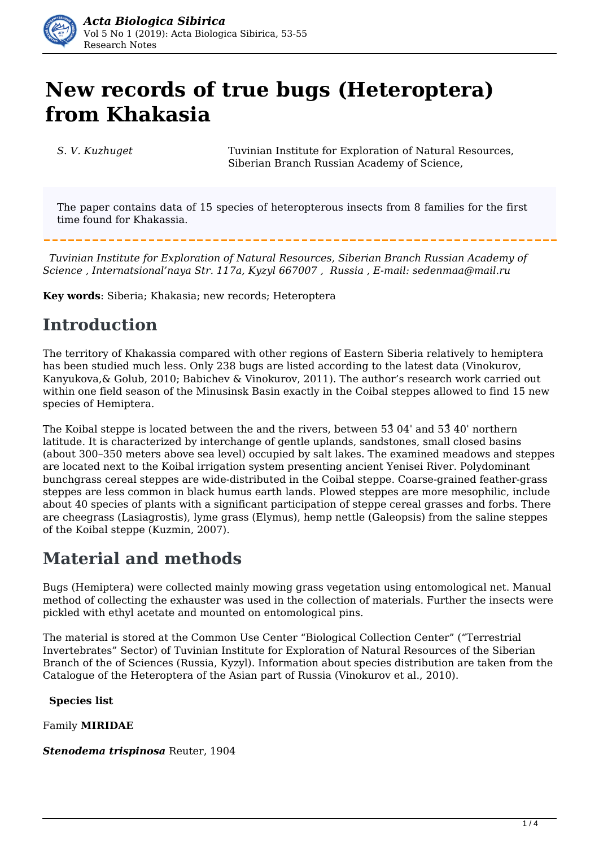

# **New records of true bugs (Heteroptera) from Khakasia**

*S. V. Kuzhuget* Tuvinian Institute for Exploration of Natural Resources, Siberian Branch Russian Academy of Science,

The paper contains data of 15 species of heteropterous insects from 8 families for the first time found for Khakassia.

 *Tuvinian Institute for Exploration of Natural Resources, Siberian Branch Russian Academy of Science , Internatsional'naya Str. 117а, Kyzyl 667007 , Russia , E-mail: sedenmaa@mail.ru*

**Key words**: Siberia; Khakasia; new records; Heteroptera

### **Introduction**

The territory of Khakassia compared with other regions of Eastern Siberia relatively to hemiptera has been studied much less. Only 238 bugs are listed according to the latest data (Vinokurov, Kanyukova,& Golub, 2010; Babichev & Vinokurov, 2011). The author's research work carried out within one field season of the Minusinsk Basin exactly in the Coibal steppes allowed to find 15 new species of Hemiptera.

The Koibal steppe is located between the and the rivers, between 53̊ 04ˈ and 53̊ 40ˈ northern latitude. It is characterized by interchange of gentle uplands, sandstones, small closed basins (about 300–350 meters above sea level) occupied by salt lakes. The examined meadows and steppes are located next to the Koibal irrigation system presenting ancient Yenisei River. Polydominant bunchgrass cereal steppes are wide-distributed in the Coibal steppe. Coarse-grained feather-grass steppes are less common in black humus earth lands. Plowed steppes are more mesophilic, include about 40 species of plants with a significant participation of steppe cereal grasses and forbs. There are cheegrass (Lasiagrostis), lyme grass (Elymus), hemp nettle (Galeopsis) from the saline steppes of the Koibal steppe (Kuzmin, 2007).

## **Material and methods**

Bugs (Hemiptera) were collected mainly mowing grass vegetation using entomological net. Manual method of collecting the exhauster was used in the collection of materials. Further the insects were pickled with ethyl acetate and mounted on entomological pins.

The material is stored at the Common Use Center "Biological Collection Center" ("Terrestrial Invertebrates" Sector) of Tuvinian Institute for Exploration of Natural Resources of the Siberian Branch of the of Sciences (Russia, Kyzyl). Information about species distribution are taken from the Catalogue of the Heteroptera of the Asian part of Russia (Vinokurov et al., 2010).

**Species list**

Family **MIRIDAE**

*Stenodema trispinosa* Reuter, 1904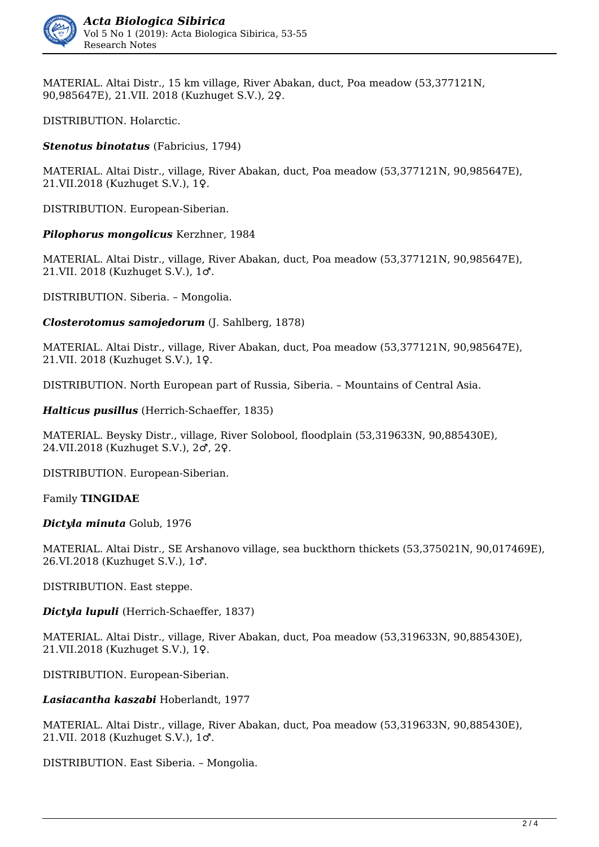

MATERIAL. Altai Distr., 15 km village, River Abakan, duct, Poa meadow (53,377121N, 90,985647E), 21.VII. 2018 (Kuzhuget S.V.), 2♀.

DISTRIBUTION. Holarctic.

*Stenotus binotatus* (Fabricius, 1794)

MATERIAL. Altai Distr., village, River Abakan, duct, Poa meadow (53,377121N, 90,985647E), 21.VII.2018 (Kuzhuget S.V.), 1♀.

DISTRIBUTION. European-Siberian.

*Pilophorus mongolicus* Kerzhner, 1984

MATERIAL. Altai Distr., village, River Abakan, duct, Poa meadow (53,377121N, 90,985647E), 21.VII. 2018 (Kuzhuget S.V.), 1♂.

DISTRIBUTION. Siberia. – Mongolia.

*Closterotomus samojedorum* (J. Sahlberg, 1878)

MATERIAL. Altai Distr., village, River Abakan, duct, Poa meadow (53,377121N, 90,985647E), 21.VII. 2018 (Kuzhuget S.V.), 1♀.

DISTRIBUTION. North European part of Russia, Siberia. – Mountains of Central Asia.

*Halticus pusillus* (Herrich-Schaeffer, 1835)

MATERIAL. Beysky Distr., village, River Solobool, floodplain (53,319633N, 90,885430E), 24.VII.2018 (Kuzhuget S.V.), 2♂, 2♀.

DISTRIBUTION. European-Siberian.

Family **TINGIDAE**

*Dictyla minuta* Golub, 1976

MATERIAL. Altai Distr., SE Arshanovo village, sea buckthorn thickets (53,375021N, 90,017469E), 26.VI.2018 (Kuzhuget S.V.), 1♂.

DISTRIBUTION. East steppe.

*Dictyla lupuli* (Herrich-Schaeffer, 1837)

MATERIAL. Altai Distr., village, River Abakan, duct, Poa meadow (53,319633N, 90,885430E), 21.VII.2018 (Kuzhuget S.V.), 1♀.

DISTRIBUTION. European-Siberian.

*Lasiacantha kaszabi* Hoberlandt, 1977

MATERIAL. Altai Distr., village, River Abakan, duct, Poa meadow (53,319633N, 90,885430E), 21.VII. 2018 (Kuzhuget S.V.), 1♂.

DISTRIBUTION. East Siberia. – Mongolia.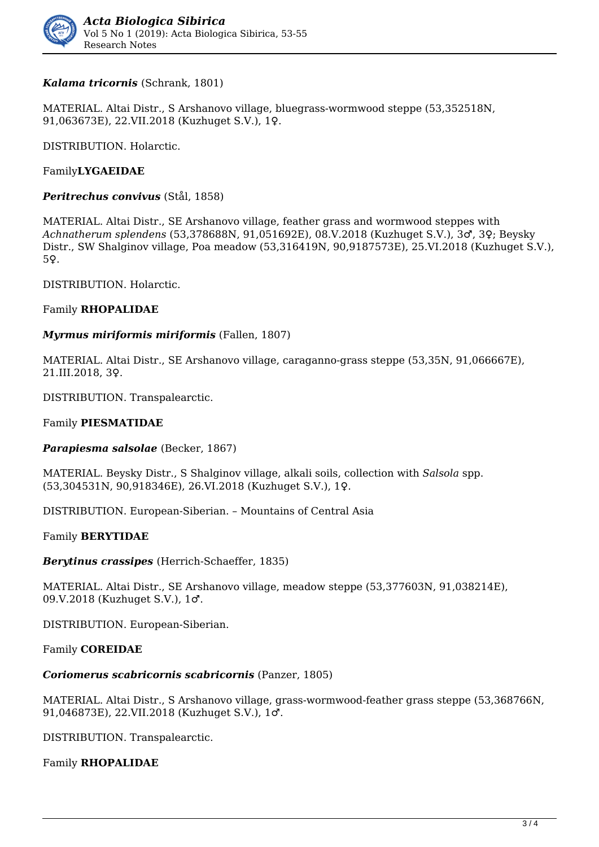

#### *Kalama tricornis* (Schrank, 1801)

MATERIAL. Altai Distr., S Arshanovo village, bluegrass-wormwood steppe (53,352518N, 91,063673E), 22.VII.2018 (Kuzhuget S.V.), 1♀.

DISTRIBUTION. Holarctic.

#### Family**LYGAEIDAE**

*Peritrechus convivus* (Stål, 1858)

MATERIAL. Altai Distr., SE Arshanovo village, feather grass and wormwood steppes with *Achnatherum splendens* (53,378688N, 91,051692E), 08.V.2018 (Kuzhuget S.V.), 3♂, 3♀; Beysky Distr., SW Shalginov village, Poa meadow (53,316419N, 90,9187573E), 25.VI.2018 (Kuzhuget S.V.), 5♀.

DISTRIBUTION. Holarctic.

#### Family **RHOPALIDAE**

#### *Myrmus miriformis miriformis* (Fallen, 1807)

MATERIAL. Altai Distr., SE Arshanovo village, caraganno-grass steppe (53,35N, 91,066667E), 21.III.2018, 3♀.

DISTRIBUTION. Transpalearctic.

#### Family **PIESMATIDAE**

*Parapiesma salsolae* (Becker, 1867)

MATERIAL. Beysky Distr., S Shalginov village, alkali soils, collection with *Salsola* spp. (53,304531N, 90,918346E), 26.VI.2018 (Kuzhuget S.V.), 1♀.

DISTRIBUTION. European-Siberian. – Mountains of Central Asia

#### Family **BERYTIDAE**

*Berytinus crassipes* (Herrich-Schaeffer, 1835)

MATERIAL. Altai Distr., SE Arshanovo village, meadow steppe (53,377603N, 91,038214E), 09.V.2018 (Kuzhuget S.V.), 1♂.

DISTRIBUTION. European-Siberian.

Family **COREIDAE**

#### *Coriomerus scabricornis scabricornis* (Panzer, 1805)

MATERIAL. Altai Distr., S Arshanovo village, grass-wormwood-feather grass steppe (53,368766N, 91,046873E), 22.VII.2018 (Kuzhuget S.V.), 1♂.

DISTRIBUTION. Transpalearctic.

#### Family **RHOPALIDAE**